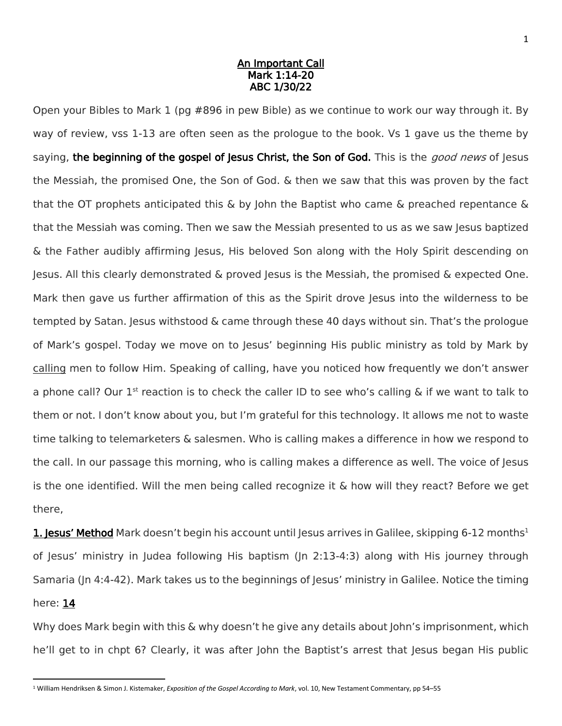## An Important Call Mark 1:14-20 ABC 1/30/22

Open your Bibles to Mark 1 (pg #896 in pew Bible) as we continue to work our way through it. By way of review, vss 1-13 are often seen as the prologue to the book. Vs 1 gave us the theme by saying, the beginning of the gospel of Jesus Christ, the Son of God. This is the *good news* of Jesus the Messiah, the promised One, the Son of God. & then we saw that this was proven by the fact that the OT prophets anticipated this  $\&$  by John the Baptist who came  $\&$  preached repentance  $\&$ that the Messiah was coming. Then we saw the Messiah presented to us as we saw Jesus baptized & the Father audibly affirming Jesus, His beloved Son along with the Holy Spirit descending on Jesus. All this clearly demonstrated & proved Jesus is the Messiah, the promised & expected One. Mark then gave us further affirmation of this as the Spirit drove Jesus into the wilderness to be tempted by Satan. Jesus withstood & came through these 40 days without sin. That's the prologue of Mark's gospel. Today we move on to Jesus' beginning His public ministry as told by Mark by calling men to follow Him. Speaking of calling, have you noticed how frequently we don't answer a phone call? Our  $1^{st}$  reaction is to check the caller ID to see who's calling & if we want to talk to them or not. I don't know about you, but I'm grateful for this technology. It allows me not to waste time talking to telemarketers & salesmen. Who is calling makes a difference in how we respond to the call. In our passage this morning, who is calling makes a difference as well. The voice of Jesus is the one identified. Will the men being called recognize it & how will they react? Before we get there,

**1. Jesus' Method** Mark doesn't begin his account until Jesus arrives in Galilee, skipping 6-12 months<sup>1</sup> of Jesus' ministry in Judea following His baptism (Jn 2:13-4:3) along with His journey through Samaria (Jn 4:4-42). Mark takes us to the beginnings of Jesus' ministry in Galilee. Notice the timing here: 14

Why does Mark begin with this & why doesn't he give any details about John's imprisonment, which he'll get to in chpt 6? Clearly, it was after John the Baptist's arrest that Jesus began His public

l

<sup>1</sup> William Hendriksen & Simon J. Kistemaker, *Exposition of the Gospel According to Mark*, vol. 10, New Testament Commentary, pp 54–55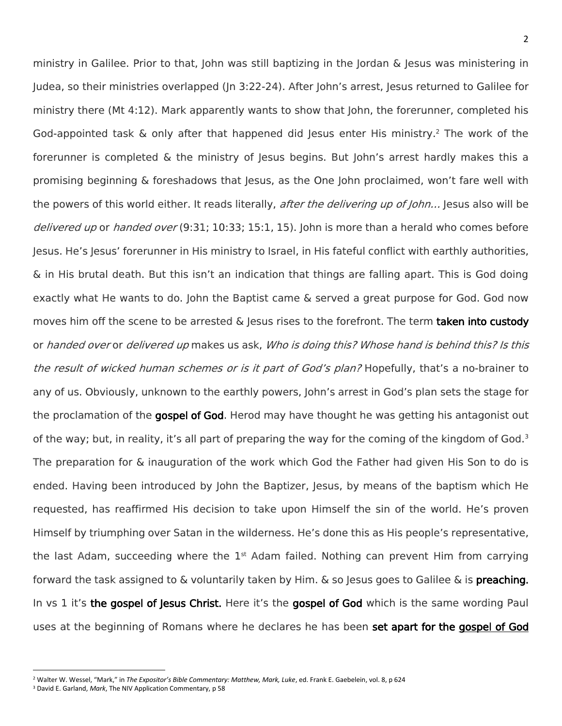ministry in Galilee. Prior to that, John was still baptizing in the Jordan & Jesus was ministering in Judea, so their ministries overlapped (Jn 3:22-24). After John's arrest, Jesus returned to Galilee for ministry there (Mt 4:12). Mark apparently wants to show that John, the forerunner, completed his God-appointed task & only after that happened did Jesus enter His ministry.<sup>2</sup> The work of the forerunner is completed & the ministry of Jesus begins. But John's arrest hardly makes this a promising beginning & foreshadows that Jesus, as the One John proclaimed, won't fare well with the powers of this world either. It reads literally, after the delivering up of John... Jesus also will be delivered up or handed over (9:31; 10:33; 15:1, 15). John is more than a herald who comes before Jesus. He's Jesus' forerunner in His ministry to Israel, in His fateful conflict with earthly authorities, & in His brutal death. But this isn't an indication that things are falling apart. This is God doing exactly what He wants to do. John the Baptist came & served a great purpose for God. God now moves him off the scene to be arrested & Jesus rises to the forefront. The term taken into custody or handed over or delivered up makes us ask, Who is doing this? Whose hand is behind this? Is this the result of wicked human schemes or is it part of God's plan? Hopefully, that's a no-brainer to any of us. Obviously, unknown to the earthly powers, John's arrest in God's plan sets the stage for the proclamation of the gospel of God. Herod may have thought he was getting his antagonist out of the way; but, in reality, it's all part of preparing the way for the coming of the kingdom of God.<sup>3</sup> The preparation for & inauguration of the work which God the Father had given His Son to do is ended. Having been introduced by John the Baptizer, Jesus, by means of the baptism which He requested, has reaffirmed His decision to take upon Himself the sin of the world. He's proven Himself by triumphing over Satan in the wilderness. He's done this as His people's representative, the last Adam, succeeding where the  $1<sup>st</sup>$  Adam failed. Nothing can prevent Him from carrying forward the task assigned to & voluntarily taken by Him. & so Jesus goes to Galilee & is preaching. In vs 1 it's the gospel of Jesus Christ. Here it's the gospel of God which is the same wording Paul uses at the beginning of Romans where he declares he has been set apart for the gospel of God

 $\overline{a}$ 

<sup>2</sup> Walter W. Wessel, "Mark," in *The Expositor's Bible Commentary: Matthew, Mark, Luke*, ed. Frank E. Gaebelein, vol. 8, p 624

<sup>3</sup> David E. Garland, *Mark*, The NIV Application Commentary, p 58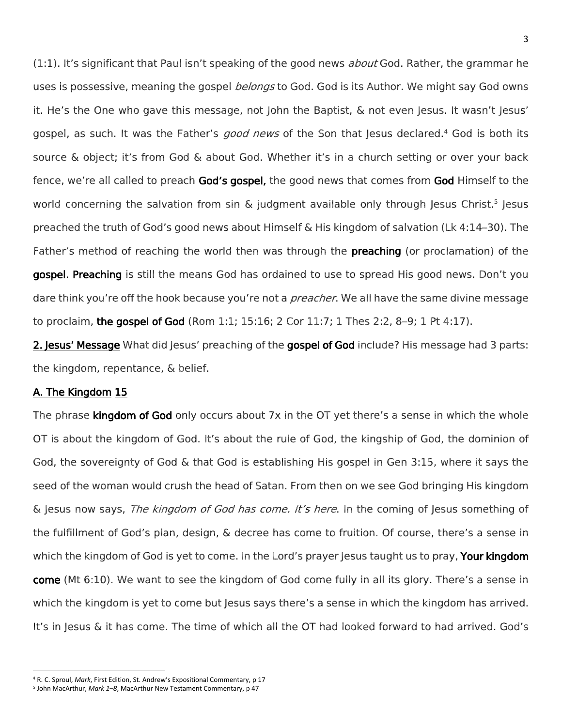(1:1). It's significant that Paul isn't speaking of the good news *about* God. Rather, the grammar he uses is possessive, meaning the gospel *belongs* to God. God is its Author. We might say God owns it. He's the One who gave this message, not John the Baptist, & not even Jesus. It wasn't Jesus' gospel, as such. It was the Father's *good news* of the Son that Jesus declared.<sup>4</sup> God is both its source & object; it's from God & about God. Whether it's in a church setting or over your back fence, we're all called to preach God's gospel, the good news that comes from God Himself to the world concerning the salvation from sin & judgment available only through Jesus Christ.<sup>5</sup> Jesus preached the truth of God's good news about Himself & His kingdom of salvation (Lk 4:14–30). The Father's method of reaching the world then was through the **preaching** (or proclamation) of the gospel. Preaching is still the means God has ordained to use to spread His good news. Don't you dare think you're off the hook because you're not a *preacher*. We all have the same divine message to proclaim, the gospel of God (Rom 1:1; 15:16; 2 Cor 11:7; 1 Thes 2:2, 8–9; 1 Pt 4:17).

2. Jesus' Message What did Jesus' preaching of the gospel of God include? His message had 3 parts: the kingdom, repentance, & belief.

## A. The Kingdom 15

 $\overline{a}$ 

The phrase **kingdom of God** only occurs about  $7x$  in the OT yet there's a sense in which the whole OT is about the kingdom of God. It's about the rule of God, the kingship of God, the dominion of God, the sovereignty of God & that God is establishing His gospel in Gen 3:15, where it says the seed of the woman would crush the head of Satan. From then on we see God bringing His kingdom & Jesus now says, The kingdom of God has come. It's here. In the coming of Jesus something of the fulfillment of God's plan, design, & decree has come to fruition. Of course, there's a sense in which the kingdom of God is yet to come. In the Lord's prayer Jesus taught us to pray, Your kingdom come (Mt 6:10). We want to see the kingdom of God come fully in all its glory. There's a sense in which the kingdom is yet to come but Jesus says there's a sense in which the kingdom has arrived. It's in Jesus & it has come. The time of which all the OT had looked forward to had arrived. God's

<sup>4</sup> R. C. Sproul, *Mark*, First Edition, St. Andrew's Expositional Commentary, p 17

<sup>5</sup> John MacArthur, *Mark 1–8*, MacArthur New Testament Commentary, p 47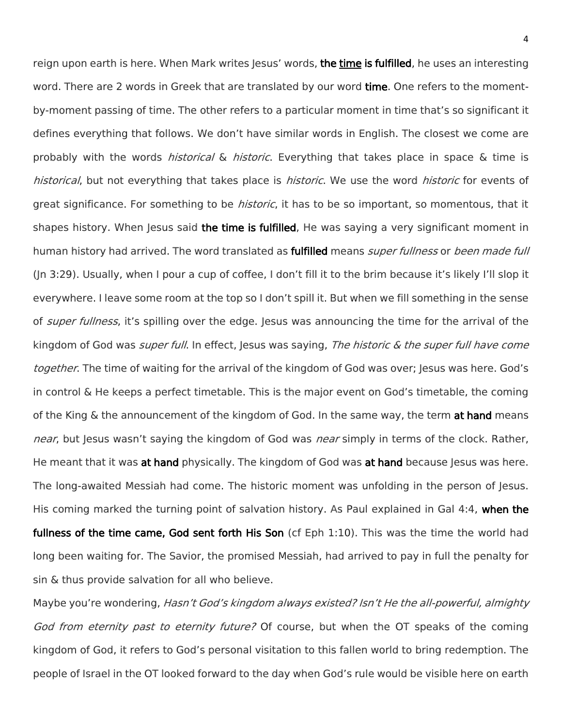reign upon earth is here. When Mark writes Jesus' words, the time is fulfilled, he uses an interesting word. There are 2 words in Greek that are translated by our word time. One refers to the momentby-moment passing of time. The other refers to a particular moment in time that's so significant it defines everything that follows. We don't have similar words in English. The closest we come are probably with the words *historical* & *historic*. Everything that takes place in space & time is historical, but not everything that takes place is historic. We use the word historic for events of great significance. For something to be *historic*, it has to be so important, so momentous, that it shapes history. When Jesus said the time is fulfilled, He was saying a very significant moment in human history had arrived. The word translated as fulfilled means *super fullness* or *been made full* (Jn 3:29). Usually, when I pour a cup of coffee, I don't fill it to the brim because it's likely I'll slop it everywhere. I leave some room at the top so I don't spill it. But when we fill something in the sense of *super fullness*, it's spilling over the edge. Jesus was announcing the time for the arrival of the kingdom of God was *super full*. In effect, Jesus was saying, *The historic & the super full have come* together. The time of waiting for the arrival of the kingdom of God was over; Jesus was here. God's in control & He keeps a perfect timetable. This is the major event on God's timetable, the coming of the King & the announcement of the kingdom of God. In the same way, the term at hand means near, but Jesus wasn't saying the kingdom of God was near simply in terms of the clock. Rather, He meant that it was at hand physically. The kingdom of God was at hand because Jesus was here. The long-awaited Messiah had come. The historic moment was unfolding in the person of Jesus. His coming marked the turning point of salvation history. As Paul explained in Gal 4:4, when the fullness of the time came, God sent forth His Son (cf Eph 1:10). This was the time the world had long been waiting for. The Savior, the promised Messiah, had arrived to pay in full the penalty for sin & thus provide salvation for all who believe.

Maybe you're wondering, Hasn't God's kingdom always existed? Isn't He the all-powerful, almighty God from eternity past to eternity future? Of course, but when the OT speaks of the coming kingdom of God, it refers to God's personal visitation to this fallen world to bring redemption. The people of Israel in the OT looked forward to the day when God's rule would be visible here on earth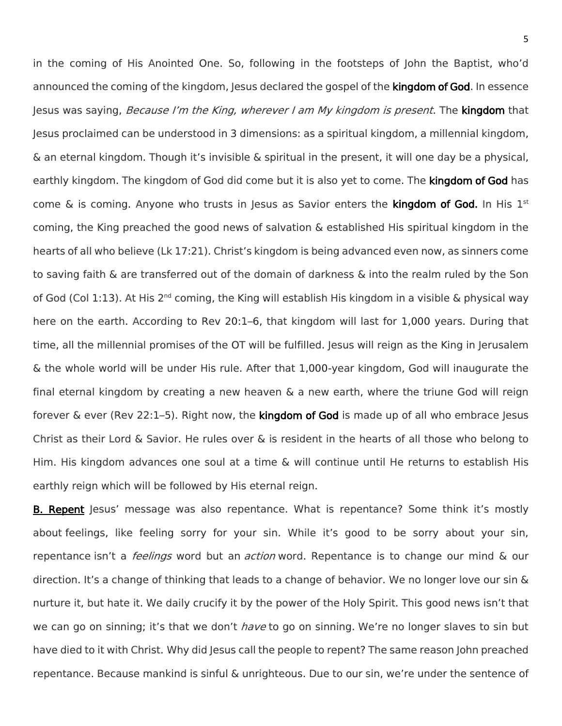in the coming of His Anointed One. So, following in the footsteps of John the Baptist, who'd announced the coming of the kingdom, Jesus declared the gospel of the **kingdom of God**. In essence Jesus was saying, Because I'm the King, wherever I am My kingdom is present. The kingdom that Jesus proclaimed can be understood in 3 dimensions: as a spiritual kingdom, a millennial kingdom, & an eternal kingdom. Though it's invisible & spiritual in the present, it will one day be a physical, earthly kingdom. The kingdom of God did come but it is also yet to come. The kingdom of God has come & is coming. Anyone who trusts in Jesus as Savior enters the kingdom of God. In His 1st coming, the King preached the good news of salvation & established His spiritual kingdom in the hearts of all who believe (Lk 17:21). Christ's kingdom is being advanced even now, as sinners come to saving faith & are transferred out of the domain of darkness & into the realm ruled by the Son of God (Col 1:13). At His 2<sup>nd</sup> coming, the King will establish His kingdom in a visible & physical way here on the earth. According to Rev 20:1–6, that kingdom will last for 1,000 years. During that time, all the millennial promises of the OT will be fulfilled. Jesus will reign as the King in Jerusalem & the whole world will be under His rule. After that 1,000-year kingdom, God will inaugurate the final eternal kingdom by creating a new heaven  $\&$  a new earth, where the triune God will reign forever  $\&$  ever (Rev 22:1–5). Right now, the kingdom of God is made up of all who embrace Jesus Christ as their Lord & Savior. He rules over & is resident in the hearts of all those who belong to Him. His kingdom advances one soul at a time & will continue until He returns to establish His earthly reign which will be followed by His eternal reign.

B. Repent Jesus' message was also repentance. What is repentance? Some think it's mostly about feelings, like feeling sorry for your sin. While it's good to be sorry about your sin, repentance isn't a *feelings* word but an *action* word. Repentance is to change our mind & our direction. It's a change of thinking that leads to a change of behavior. We no longer love our sin & nurture it, but hate it. We daily crucify it by the power of the Holy Spirit. This good news isn't that we can go on sinning; it's that we don't *have* to go on sinning. We're no longer slaves to sin but have died to it with Christ. Why did Jesus call the people to repent? The same reason John preached repentance. Because mankind is sinful & unrighteous. Due to our sin, we're under the sentence of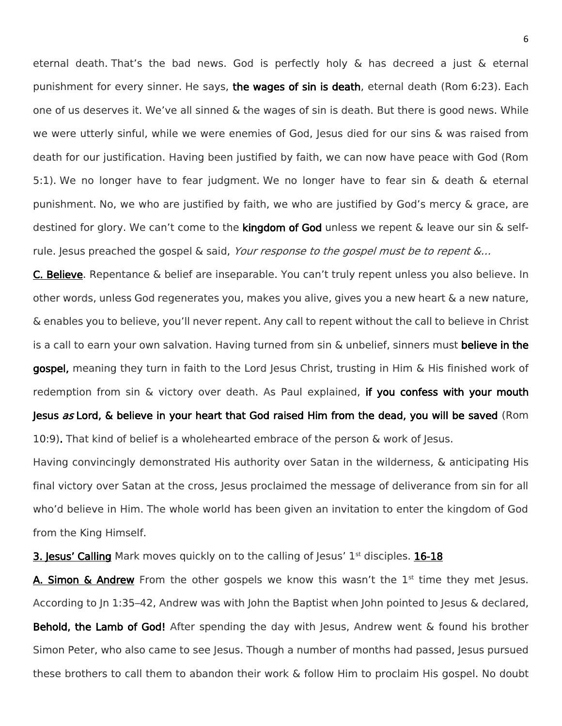eternal death. That's the bad news. God is perfectly holy & has decreed a just & eternal punishment for every sinner. He says, the wages of sin is death, eternal death (Rom 6:23). Each one of us deserves it. We've all sinned & the wages of sin is death. But there is good news. While we were utterly sinful, while we were enemies of God, Jesus died for our sins & was raised from death for our justification. Having been justified by faith, we can now have peace with God (Rom 5:1). We no longer have to fear judgment. We no longer have to fear sin & death & eternal punishment. No, we who are justified by faith, we who are justified by God's mercy & grace, are destined for glory. We can't come to the **kingdom of God** unless we repent & leave our sin & selfrule. Jesus preached the gospel & said, Your response to the gospel must be to repent  $\&...$ 

C. Believe. Repentance & belief are inseparable. You can't truly repent unless you also believe. In other words, unless God regenerates you, makes you alive, gives you a new heart & a new nature, & enables you to believe, you'll never repent. Any call to repent without the call to believe in Christ is a call to earn your own salvation. Having turned from sin & unbelief, sinners must believe in the gospel, meaning they turn in faith to the Lord Jesus Christ, trusting in Him & His finished work of redemption from sin & victory over death. As Paul explained, if you confess with your mouth Jesus as Lord, & believe in your heart that God raised Him from the dead, you will be saved (Rom 10:9). That kind of belief is a wholehearted embrace of the person & work of Jesus.

Having convincingly demonstrated His authority over Satan in the wilderness, & anticipating His final victory over Satan at the cross, Jesus proclaimed the message of deliverance from sin for all who'd believe in Him. The whole world has been given an invitation to enter the kingdom of God from the King Himself.

**3. Jesus' Calling** Mark moves quickly on to the calling of Jesus'  $1<sup>st</sup>$  disciples. **16-18** 

A. Simon  $\&$  Andrew From the other gospels we know this wasn't the  $1<sup>st</sup>$  time they met Jesus. According to Jn 1:35–42, Andrew was with John the Baptist when John pointed to Jesus & declared, Behold, the Lamb of God! After spending the day with Jesus, Andrew went & found his brother Simon Peter, who also came to see Jesus. Though a number of months had passed, Jesus pursued these brothers to call them to abandon their work & follow Him to proclaim His gospel. No doubt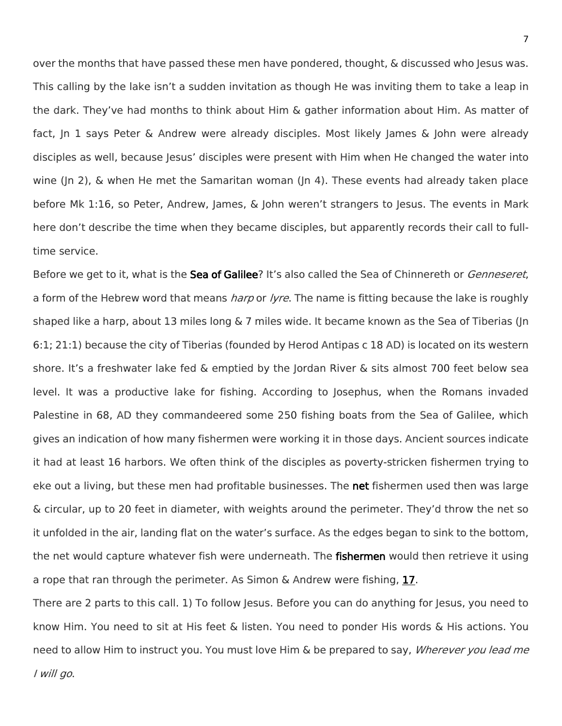over the months that have passed these men have pondered, thought, & discussed who Jesus was. This calling by the lake isn't a sudden invitation as though He was inviting them to take a leap in the dark. They've had months to think about Him & gather information about Him. As matter of fact, Jn 1 says Peter & Andrew were already disciples. Most likely James & John were already disciples as well, because Jesus' disciples were present with Him when He changed the water into wine (Jn 2), & when He met the Samaritan woman (Jn 4). These events had already taken place before Mk 1:16, so Peter, Andrew, James, & John weren't strangers to Jesus. The events in Mark here don't describe the time when they became disciples, but apparently records their call to fulltime service.

Before we get to it, what is the **Sea of Galilee**? It's also called the Sea of Chinnereth or *Genneseret*, a form of the Hebrew word that means *harp* or *lyre*. The name is fitting because the lake is roughly shaped like a harp, about 13 miles long & 7 miles wide. It became known as the Sea of Tiberias (Jn 6:1; 21:1) because the city of Tiberias (founded by Herod Antipas c 18 AD) is located on its western shore. It's a freshwater lake fed & emptied by the Jordan River & sits almost 700 feet below sea level. It was a productive lake for fishing. According to Josephus, when the Romans invaded Palestine in 68, AD they commandeered some 250 fishing boats from the Sea of Galilee, which gives an indication of how many fishermen were working it in those days. Ancient sources indicate it had at least 16 harbors. We often think of the disciples as poverty-stricken fishermen trying to eke out a living, but these men had profitable businesses. The net fishermen used then was large & circular, up to 20 feet in diameter, with weights around the perimeter. They'd throw the net so it unfolded in the air, landing flat on the water's surface. As the edges began to sink to the bottom, the net would capture whatever fish were underneath. The fishermen would then retrieve it using a rope that ran through the perimeter. As Simon & Andrew were fishing, 17.

There are 2 parts to this call. 1) To follow Jesus. Before you can do anything for Jesus, you need to know Him. You need to sit at His feet & listen. You need to ponder His words & His actions. You need to allow Him to instruct you. You must love Him & be prepared to say, *Wherever you lead me* I will go.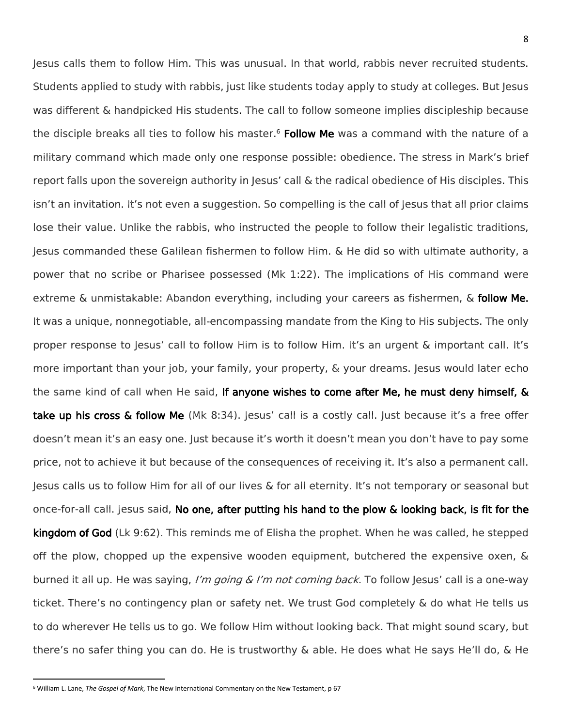Jesus calls them to follow Him. This was unusual. In that world, rabbis never recruited students. Students applied to study with rabbis, just like students today apply to study at colleges. But Jesus was different & handpicked His students. The call to follow someone implies discipleship because the disciple breaks all ties to follow his master.<sup>6</sup> Follow Me was a command with the nature of a military command which made only one response possible: obedience. The stress in Mark's brief report falls upon the sovereign authority in Jesus' call & the radical obedience of His disciples. This isn't an invitation. It's not even a suggestion. So compelling is the call of Jesus that all prior claims lose their value. Unlike the rabbis, who instructed the people to follow their legalistic traditions, Jesus commanded these Galilean fishermen to follow Him. & He did so with ultimate authority, a power that no scribe or Pharisee possessed (Mk 1:22). The implications of His command were extreme & unmistakable: Abandon everything, including your careers as fishermen, & **follow Me.** It was a unique, nonnegotiable, all-encompassing mandate from the King to His subjects. The only proper response to Jesus' call to follow Him is to follow Him. It's an urgent & important call. It's more important than your job, your family, your property, & your dreams. Jesus would later echo the same kind of call when He said, If anyone wishes to come after Me, he must deny himself, & take up his cross & follow Me (Mk 8:34). Jesus' call is a costly call. Just because it's a free offer doesn't mean it's an easy one. Just because it's worth it doesn't mean you don't have to pay some price, not to achieve it but because of the consequences of receiving it. It's also a permanent call. Jesus calls us to follow Him for all of our lives & for all eternity. It's not temporary or seasonal but once-for-all call. Jesus said, No one, after putting his hand to the plow & looking back, is fit for the kingdom of God (Lk 9:62). This reminds me of Elisha the prophet. When he was called, he stepped off the plow, chopped up the expensive wooden equipment, butchered the expensive oxen,  $\&$ burned it all up. He was saying, I'm going & I'm not coming back. To follow Jesus' call is a one-way ticket. There's no contingency plan or safety net. We trust God completely & do what He tells us to do wherever He tells us to go. We follow Him without looking back. That might sound scary, but there's no safer thing you can do. He is trustworthy & able. He does what He says He'll do, & He

l

<sup>6</sup> William L. Lane, *The Gospel of Mark*, The New International Commentary on the New Testament, p 67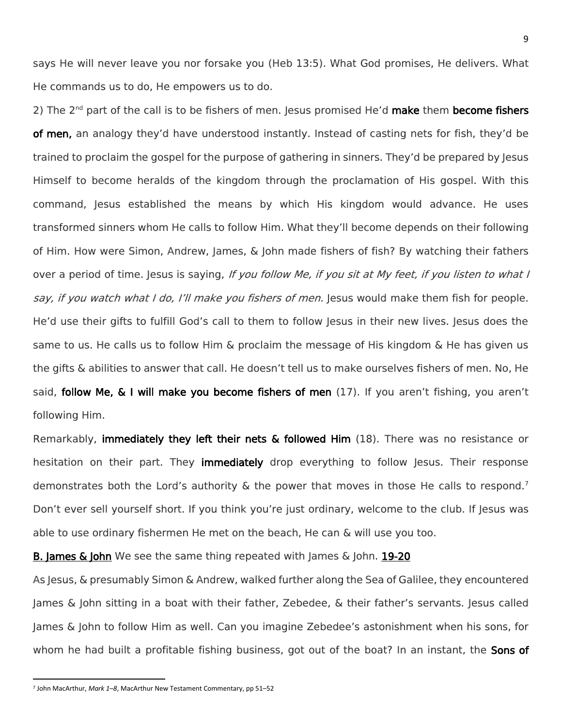says He will never leave you nor forsake you (Heb 13:5). What God promises, He delivers. What He commands us to do, He empowers us to do.

2) The  $2^{nd}$  part of the call is to be fishers of men. Jesus promised He'd make them become fishers of men, an analogy they'd have understood instantly. Instead of casting nets for fish, they'd be trained to proclaim the gospel for the purpose of gathering in sinners. They'd be prepared by Jesus Himself to become heralds of the kingdom through the proclamation of His gospel. With this command, Jesus established the means by which His kingdom would advance. He uses transformed sinners whom He calls to follow Him. What they'll become depends on their following of Him. How were Simon, Andrew, James, & John made fishers of fish? By watching their fathers over a period of time. Jesus is saying, If you follow Me, if you sit at My feet, if you listen to what I say, if you watch what I do, I'll make you fishers of men. Jesus would make them fish for people. He'd use their gifts to fulfill God's call to them to follow Jesus in their new lives. Jesus does the same to us. He calls us to follow Him & proclaim the message of His kingdom & He has given us the gifts & abilities to answer that call. He doesn't tell us to make ourselves fishers of men. No, He said, follow Me, & I will make you become fishers of men (17). If you aren't fishing, you aren't following Him.

Remarkably, immediately they left their nets & followed Him (18). There was no resistance or hesitation on their part. They immediately drop everything to follow Jesus. Their response demonstrates both the Lord's authority & the power that moves in those He calls to respond.<sup>7</sup> Don't ever sell yourself short. If you think you're just ordinary, welcome to the club. If Jesus was able to use ordinary fishermen He met on the beach, He can & will use you too.

**B. James & John** We see the same thing repeated with James & John. 19-20

As Jesus, & presumably Simon & Andrew, walked further along the Sea of Galilee, they encountered James & John sitting in a boat with their father, Zebedee, & their father's servants. Jesus called James & John to follow Him as well. Can you imagine Zebedee's astonishment when his sons, for whom he had built a profitable fishing business, got out of the boat? In an instant, the Sons of

l

<sup>7</sup> John MacArthur, *Mark 1–8*, MacArthur New Testament Commentary, pp 51–52